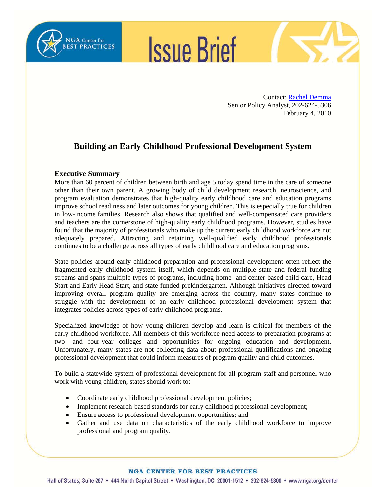



Contact: Rachel Demma Senior Policy Analyst, 202-624-5306 February 4, 2010

# **Building an Early Childhood Professional Development System**

## **Executive Summary**

More than 60 percent of children between birth and age 5 today spend time in the care of someone other than their own parent. A growing body of child development research, neuroscience, and program evaluation demonstrates that high-quality early childhood care and education programs improve school readiness and later outcomes for young children. This is especially true for children in low-income families. Research also shows that qualified and well-compensated care providers and teachers are the cornerstone of high-quality early childhood programs. However, studies have found that the majority of professionals who make up the current early childhood workforce are not adequately prepared. Attracting and retaining well-qualified early childhood professionals continues to be a challenge across all types of early childhood care and education programs.

State policies around early childhood preparation and professional development often reflect the fragmented early childhood system itself, which depends on multiple state and federal funding streams and spans multiple types of programs, including home- and center-based child care, Head Start and Early Head Start, and state-funded prekindergarten. Although initiatives directed toward improving overall program quality are emerging across the country, many states continue to struggle with the development of an early childhood professional development system that integrates policies across types of early childhood programs.

Specialized knowledge of how young children develop and learn is critical for members of the early childhood workforce. All members of this workforce need access to preparation programs at two- and four-year colleges and opportunities for ongoing education and development. Unfortunately, many states are not collecting data about professional qualifications and ongoing professional development that could inform measures of program quality and child outcomes.

To build a statewide system of professional development for all program staff and personnel who work with young children, states should work to:

- Coordinate early childhood professional development policies;
- Implement research-based standards for early childhood professional development;
- Ensure access to professional development opportunities; and
- Gather and use data on characteristics of the early childhood workforce to improve professional and program quality.

### **NGA CENTER FOR BEST PRACTICES**

Hall of States, Suite 267 • 444 North Capitol Street • Washington, DC 20001-1512 • 202-624-5300 • www.nga.org/center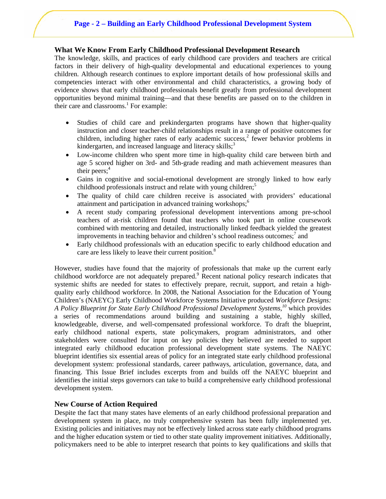## **What We Know From Early Childhood Professional Development Research**

The knowledge, skills, and practices of early childhood care providers and teachers are critical factors in their delivery of high-quality developmental and educational experiences to young children. Although research continues to explore important details of how professional skills and competencies interact with other environmental and child characteristics, a growing body of evidence shows that early childhood professionals benefit greatly from professional development opportunities beyond minimal training—and that these benefits are passed on to the children in their care and classrooms.<sup>1</sup> For example:

- Studies of child care and prekindergarten programs have shown that higher-quality instruction and closer teacher-child relationships result in a range of positive outcomes for children, including higher rates of early academic success, $2$  fewer behavior problems in kindergarten, and increased language and literacy skills;<sup>3</sup>
- Low-income children who spent more time in high-quality child care between birth and age 5 scored higher on 3rd- and 5th-grade reading and math achievement measures than their peers; $4$
- Gains in cognitive and social-emotional development are strongly linked to how early childhood professionals instruct and relate with young children;<sup>5</sup>
- The quality of child care children receive is associated with providers' educational attainment and participation in advanced training workshops;6
- A recent study comparing professional development interventions among pre-school teachers of at-risk children found that teachers who took part in online coursework combined with mentoring and detailed, instructionally linked feedback yielded the greatest improvements in teaching behavior and children's school readiness outcomes;<sup>7</sup> and
- Early childhood professionals with an education specific to early childhood education and care are less likely to leave their current position.<sup>8</sup>

However, studies have found that the majority of professionals that make up the current early childhood workforce are not adequately prepared.<sup>9</sup> Recent national policy research indicates that systemic shifts are needed for states to effectively prepare, recruit, support, and retain a highquality early childhood workforce. In 2008, the National Association for the Education of Young Children's (NAEYC) Early Childhood Workforce Systems Initiative produced *Workforce Designs: A Policy Blueprint for State Early Childhood Professional Development Systems,10* which provides a series of recommendations around building and sustaining a stable, highly skilled, knowledgeable, diverse, and well-compensated professional workforce. To draft the blueprint, early childhood national experts, state policymakers, program administrators, and other stakeholders were consulted for input on key policies they believed are needed to support integrated early childhood education professional development state systems. The NAEYC blueprint identifies six essential areas of policy for an integrated state early childhood professional development system: professional standards, career pathways, articulation, governance, data, and financing. This Issue Brief includes excerpts from and builds off the NAEYC blueprint and identifies the initial steps governors can take to build a comprehensive early childhood professional development system.

## **New Course of Action Required**

Despite the fact that many states have elements of an early childhood professional preparation and development system in place, no truly comprehensive system has been fully implemented yet. Existing policies and initiatives may not be effectively linked across state early childhood programs and the higher education system or tied to other state quality improvement initiatives. Additionally, policymakers need to be able to interpret research that points to key qualifications and skills that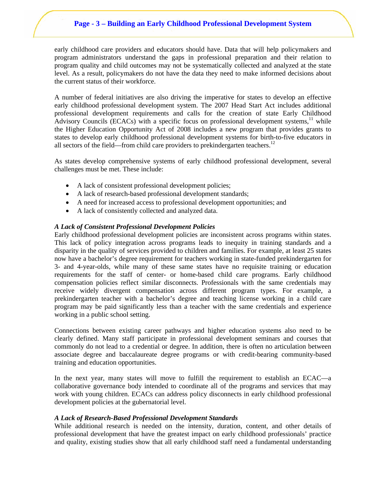## **Page - 3 – Building an Early Childhood Professional Development System**

early childhood care providers and educators should have. Data that will help policymakers and program administrators understand the gaps in professional preparation and their relation to program quality and child outcomes may not be systematically collected and analyzed at the state level. As a result, policymakers do not have the data they need to make informed decisions about the current status of their workforce.

A number of federal initiatives are also driving the imperative for states to develop an effective early childhood professional development system. The 2007 Head Start Act includes additional professional development requirements and calls for the creation of state Early Childhood Advisory Councils (ECACs) with a specific focus on professional development systems,<sup>11</sup> while the Higher Education Opportunity Act of 2008 includes a new program that provides grants to states to develop early childhood professional development systems for birth-to-five educators in all sectors of the field—from child care providers to prekindergarten teachers.<sup>12</sup>

As states develop comprehensive systems of early childhood professional development, several challenges must be met. These include:

- A lack of consistent professional development policies;
- A lack of research-based professional development standards;
- A need for increased access to professional development opportunities; and
- A lack of consistently collected and analyzed data.

#### *A Lack of Consistent Professional Development Policies*

Early childhood professional development policies are inconsistent across programs within states. This lack of policy integration across programs leads to inequity in training standards and a disparity in the quality of services provided to children and families. For example, at least 25 states now have a bachelor's degree requirement for teachers working in state-funded prekindergarten for 3- and 4-year-olds, while many of these same states have no requisite training or education requirements for the staff of center- or home-based child care programs. Early childhood compensation policies reflect similar disconnects. Professionals with the same credentials may receive widely divergent compensation across different program types. For example, a prekindergarten teacher with a bachelor's degree and teaching license working in a child care program may be paid significantly less than a teacher with the same credentials and experience working in a public school setting.

Connections between existing career pathways and higher education systems also need to be clearly defined. Many staff participate in professional development seminars and courses that commonly do not lead to a credential or degree. In addition, there is often no articulation between associate degree and baccalaureate degree programs or with credit-bearing community-based training and education opportunities.

In the next year, many states will move to fulfill the requirement to establish an ECAC—a collaborative governance body intended to coordinate all of the programs and services that may work with young children. ECACs can address policy disconnects in early childhood professional development policies at the gubernatorial level.

#### *A Lack of Research-Based Professional Development Standards*

While additional research is needed on the intensity, duration, content, and other details of professional development that have the greatest impact on early childhood professionals' practice and quality, existing studies show that all early childhood staff need a fundamental understanding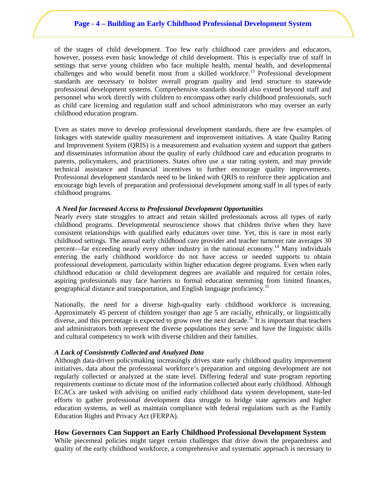## **Page - 4 – Building an Early Childhood Professional Development System**

of the stages of child development. Too few early childhood care providers and educators, however, possess even basic knowledge of child development. This is especially true of staff in settings that serve young children who face multiple health, mental health, and developmental challenges and who would benefit most from a skilled workforce.<sup>13</sup> Professional development standards are necessary to bolster overall program quality and lend structure to statewide professional development systems. Comprehensive standards should also extend beyond staff and personnel who work directly with children to encompass other early childhood professionals, such as child care licensing and regulation staff and school administrators who may oversee an early childhood education program.

Even as states move to develop professional development standards, there are few examples of linkages with statewide quality measurement and improvement initiatives. A state Quality Rating and Improvement System (QRIS) is a measurement and evaluation system and support that gathers and disseminates information about the quality of early childhood care and education programs to parents, policymakers, and practitioners. States often use a star rating system, and may provide technical assistance and financial incentives to further encourage quality improvements. Professional development standards need to be linked with QRIS to reinforce their application and encourage high levels of preparation and professional development among staff in all types of early childhood programs.

### *A Need for Increased Access to Professional Development Opportunities*

Nearly every state struggles to attract and retain skilled professionals across all types of early childhood programs. Developmental neuroscience shows that children thrive when they have consistent relationships with qualified early educators over time. Yet, this is rare in most early childhood settings. The annual early childhood care provider and teacher turnover rate averages 30 percent—far exceeding nearly every other industry in the national economy.<sup>14</sup> Many individuals entering the early childhood workforce do not have access or needed supports to obtain professional development, particularly within higher education degree programs. Even when early childhood education or child development degrees are available and required for certain roles, aspiring professionals may face barriers to formal education stemming from limited finances, geographical distance and transportation, and English language proficiency.<sup>15</sup>

Nationally, the need for a diverse high-quality early childhood workforce is increasing. Approximately 45 percent of children younger than age 5 are racially, ethnically, or linguistically diverse, and this percentage is expected to grow over the next decade.<sup>16</sup> It is important that teachers and administrators both represent the diverse populations they serve and have the linguistic skills and cultural competency to work with diverse children and their families.

#### *A Lack of Consistently Collected and Analyzed Data*

Although data-driven policymaking increasingly drives state early childhood quality improvement initiatives, data about the professional workforce's preparation and ongoing development are not regularly collected or analyzed at the state level. Differing federal and state program reporting requirements continue to dictate most of the information collected about early childhood. Although ECACs are tasked with advising on unified early childhood data system development, state-led efforts to gather professional development data struggle to bridge state agencies and higher education systems, as well as maintain compliance with federal regulations such as the Family Education Rights and Privacy Act (FERPA).

## **How Governors Can Support an Early Childhood Professional Development System**

While piecemeal policies might target certain challenges that drive down the preparedness and quality of the early childhood workforce, a comprehensive and systematic approach is necessary to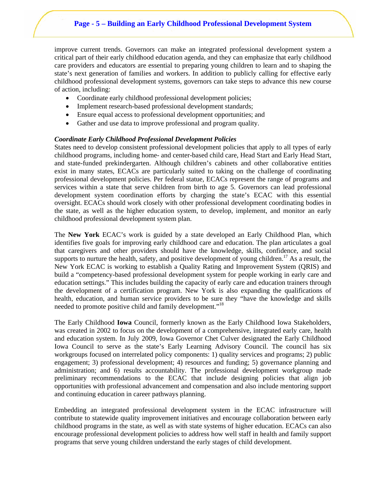## **Page - 5 – Building an Early Childhood Professional Development System**

improve current trends. Governors can make an integrated professional development system a critical part of their early childhood education agenda, and they can emphasize that early childhood care providers and educators are essential to preparing young children to learn and to shaping the state's next generation of families and workers. In addition to publicly calling for effective early childhood professional development systems, governors can take steps to advance this new course of action, including:

- Coordinate early childhood professional development policies;
- Implement research-based professional development standards;
- Ensure equal access to professional development opportunities; and
- Gather and use data to improve professional and program quality.

#### *Coordinate Early Childhood Professional Development Policies*

States need to develop consistent professional development policies that apply to all types of early childhood programs, including home- and center-based child care, Head Start and Early Head Start, and state-funded prekindergarten. Although children's cabinets and other collaborative entities exist in many states, ECACs are particularly suited to taking on the challenge of coordinating professional development policies. Per federal statue, ECACs represent the range of programs and services within a state that serve children from birth to age 5. Governors can lead professional development system coordination efforts by charging the state's ECAC with this essential oversight. ECACs should work closely with other professional development coordinating bodies in the state, as well as the higher education system, to develop, implement, and monitor an early childhood professional development system plan.

The **New York** ECAC's work is guided by a state developed an Early Childhood Plan, which identifies five goals for improving early childhood care and education. The plan articulates a goal that caregivers and other providers should have the knowledge, skills, confidence, and social supports to nurture the health, safety, and positive development of young children.<sup>17</sup> As a result, the New York ECAC is working to establish a Quality Rating and Improvement System (QRIS) and build a "competency-based professional development system for people working in early care and education settings." This includes building the capacity of early care and education trainers through the development of a certification program. New York is also expanding the qualifications of health, education, and human service providers to be sure they "have the knowledge and skills needed to promote positive child and family development."18

The Early Childhood **Iowa** Council, formerly known as the Early Childhood Iowa Stakeholders, was created in 2002 to focus on the development of a comprehensive, integrated early care, health and education system. In July 2009, Iowa Governor Chet Culver designated the Early Childhood Iowa Council to serve as the state's Early Learning Advisory Council. The council has six workgroups focused on interrelated policy components: 1) quality services and programs; 2) public engagement; 3) professional development; 4) resources and funding; 5) governance planning and administration; and 6) results accountability. The professional development workgroup made preliminary recommendations to the ECAC that include designing policies that align job opportunities with professional advancement and compensation and also include mentoring support and continuing education in career pathways planning.

Embedding an integrated professional development system in the ECAC infrastructure will contribute to statewide quality improvement initiatives and encourage collaboration between early childhood programs in the state, as well as with state systems of higher education. ECACs can also encourage professional development policies to address how well staff in health and family support programs that serve young children understand the early stages of child development.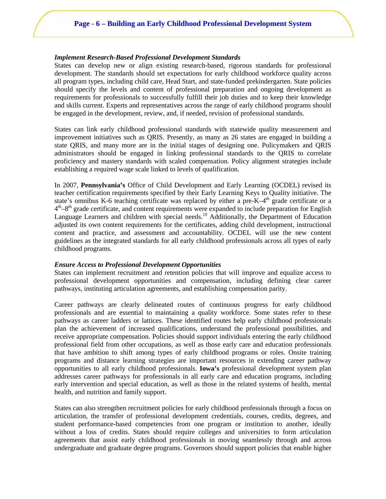#### *Implement Research-Based Professional Development Standards*

States can develop new or align existing research-based, rigorous standards for professional development. The standards should set expectations for early childhood workforce quality across all program types, including child care, Head Start, and state-funded prekindergarten. State policies should specify the levels and content of professional preparation and ongoing development as requirements for professionals to successfully fulfill their job duties and to keep their knowledge and skills current. Experts and representatives across the range of early childhood programs should be engaged in the development, review, and, if needed, revision of professional standards.

States can link early childhood professional standards with statewide quality measurement and improvement initiatives such as QRIS. Presently, as many as 26 states are engaged in building a state QRIS, and many more are in the initial stages of designing one. Policymakers and QRIS administrators should be engaged in linking professional standards to the QRIS to correlate proficiency and mastery standards with scaled compensation. Policy alignment strategies include establishing a required wage scale linked to levels of qualification.

In 2007, **Pennsylvania's** Office of Child Development and Early Learning (OCDEL) revised its teacher certification requirements specified by their Early Learning Keys to Quality initiative. The state's omnibus K-6 teaching certificate was replaced by either a pre- $K-4<sup>th</sup>$  grade certificate or a  $4<sup>th</sup>$ – $8<sup>th</sup>$  grade certificate, and content requirements were expanded to include preparation for English Language Learners and children with special needs.<sup>19</sup> Additionally, the Department of Education adjusted its own content requirements for the certificates, adding child development, instructional content and practice, and assessment and accountability. OCDEL will use the new content guidelines as the integrated standards for all early childhood professionals across all types of early childhood programs.

#### *Ensure Access to Professional Development Opportunities*

States can implement recruitment and retention policies that will improve and equalize access to professional development opportunities and compensation, including defining clear career pathways, instituting articulation agreements, and establishing compensation parity.

Career pathways are clearly delineated routes of continuous progress for early childhood professionals and are essential to maintaining a quality workforce. Some states refer to these pathways as career ladders or lattices. These identified routes help early childhood professionals plan the achievement of increased qualifications, understand the professional possibilities, and receive appropriate compensation. Policies should support individuals entering the early childhood professional field from other occupations, as well as those early care and education professionals that have ambition to shift among types of early childhood programs or roles. Onsite training programs and distance learning strategies are important resources in extending career pathway opportunities to all early childhood professionals. **Iowa's** professional development system plan addresses career pathways for professionals in all early care and education programs, including early intervention and special education, as well as those in the related systems of health, mental health, and nutrition and family support.

States can also strengthen recruitment policies for early childhood professionals through a focus on articulation, the transfer of professional development credentials, courses, credits, degrees, and student performance-based competencies from one program or institution to another, ideally without a loss of credits. States should require colleges and universities to form articulation agreements that assist early childhood professionals in moving seamlessly through and across undergraduate and graduate degree programs. Governors should support policies that enable higher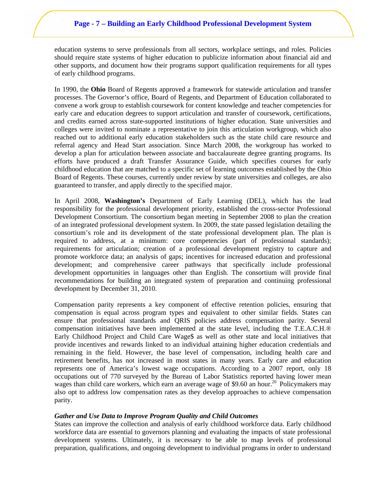education systems to serve professionals from all sectors, workplace settings, and roles. Policies should require state systems of higher education to publicize information about financial aid and other supports, and document how their programs support qualification requirements for all types of early childhood programs.

In 1990, the **Ohio** Board of Regents approved a framework for statewide articulation and transfer processes. The Governor's office, Board of Regents, and Department of Education collaborated to convene a work group to establish coursework for content knowledge and teacher competencies for early care and education degrees to support articulation and transfer of coursework, certifications, and credits earned across state-supported institutions of higher education. State universities and colleges were invited to nominate a representative to join this articulation workgroup, which also reached out to additional early education stakeholders such as the state child care resource and referral agency and Head Start association. Since March 2008, the workgroup has worked to develop a plan for articulation between associate and baccalaureate degree granting programs. Its efforts have produced a draft Transfer Assurance Guide, which specifies courses for early childhood education that are matched to a specific set of learning outcomes established by the Ohio Board of Regents. These courses, currently under review by state universities and colleges, are also guaranteed to transfer, and apply directly to the specified major.

In April 2008, **Washington's** Department of Early Learning (DEL), which has the lead responsibility for the professional development priority, established the cross-sector Professional Development Consortium. The consortium began meeting in September 2008 to plan the creation of an integrated professional development system. In 2009, the state passed legislation detailing the consortium's role and its development of the state professional development plan. The plan is required to address, at a minimum: core competencies (part of professional standards); requirements for articulation; creation of a professional development registry to capture and promote workforce data; an analysis of gaps; incentives for increased education and professional development; and comprehensive career pathways that specifically include professional development opportunities in languages other than English. The consortium will provide final recommendations for building an integrated system of preparation and continuing professional development by December 31, 2010.

Compensation parity represents a key component of effective retention policies, ensuring that compensation is equal across program types and equivalent to other similar fields. States can ensure that professional standards and QRIS policies address compensation parity. Several compensation initiatives have been implemented at the state level, including the T.E.A.C.H.® Early Childhood Project and Child Care Wage\$ as well as other state and local initiatives that provide incentives and rewards linked to an individual attaining higher education credentials and remaining in the field. However, the base level of compensation, including health care and retirement benefits, has not increased in most states in many years. Early care and education represents one of America's lowest wage occupations. According to a 2007 report, only 18 occupations out of 770 surveyed by the Bureau of Labor Statistics reported having lower mean wages than child care workers, which earn an average wage of \$9.60 an hour.<sup>20</sup> Policymakers may also opt to address low compensation rates as they develop approaches to achieve compensation parity.

#### *Gather and Use Data to Improve Program Quality and Child Outcomes*

States can improve the collection and analysis of early childhood workforce data. Early childhood workforce data are essential to governors planning and evaluating the impacts of state professional development systems. Ultimately, it is necessary to be able to map levels of professional preparation, qualifications, and ongoing development to individual programs in order to understand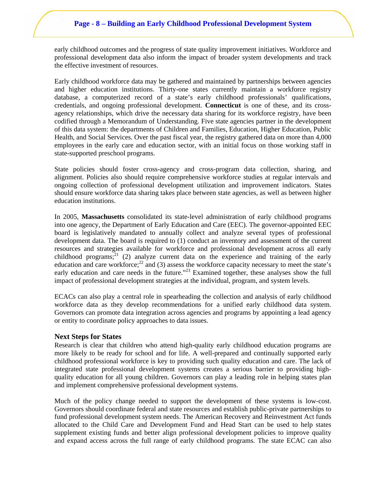early childhood outcomes and the progress of state quality improvement initiatives. Workforce and professional development data also inform the impact of broader system developments and track the effective investment of resources.

Early childhood workforce data may be gathered and maintained by partnerships between agencies and higher education institutions. Thirty-one states currently maintain a workforce registry database, a computerized record of a state's early childhood professionals' qualifications, credentials, and ongoing professional development. **Connecticut** is one of these, and its crossagency relationships, which drive the necessary data sharing for its workforce registry, have been codified through a Memorandum of Understanding. Five state agencies partner in the development of this data system: the departments of Children and Families, Education, Higher Education, Public Health, and Social Services. Over the past fiscal year, the registry gathered data on more than 4,000 employees in the early care and education sector, with an initial focus on those working staff in state-supported preschool programs.

State policies should foster cross-agency and cross-program data collection, sharing, and alignment. Policies also should require comprehensive workforce studies at regular intervals and ongoing collection of professional development utilization and improvement indicators. States should ensure workforce data sharing takes place between state agencies, as well as between higher education institutions.

In 2005, **Massachusetts** consolidated its state-level administration of early childhood programs into one agency, the Department of Early Education and Care (EEC). The governor-appointed EEC board is legislatively mandated to annually collect and analyze several types of professional development data. The board is required to (1) conduct an inventory and assessment of the current resources and strategies available for workforce and professional development across all early childhood programs;<sup>21</sup> (2) analyze current data on the experience and training of the early education and care workforce;<sup>22</sup> and (3) assess the workforce capacity necessary to meet the state's early education and care needs in the future."<sup>23</sup> Examined together, these analyses show the full impact of professional development strategies at the individual, program, and system levels.

ECACs can also play a central role in spearheading the collection and analysis of early childhood workforce data as they develop recommendations for a unified early childhood data system. Governors can promote data integration across agencies and programs by appointing a lead agency or entity to coordinate policy approaches to data issues.

## **Next Steps for States**

Research is clear that children who attend high-quality early childhood education programs are more likely to be ready for school and for life. A well-prepared and continually supported early childhood professional workforce is key to providing such quality education and care. The lack of integrated state professional development systems creates a serious barrier to providing highquality education for all young children. Governors can play a leading role in helping states plan and implement comprehensive professional development systems.

Much of the policy change needed to support the development of these systems is low-cost. Governors should coordinate federal and state resources and establish public-private partnerships to fund professional development system needs. The American Recovery and Reinvestment Act funds allocated to the Child Care and Development Fund and Head Start can be used to help states supplement existing funds and better align professional development policies to improve quality and expand access across the full range of early childhood programs. The state ECAC can also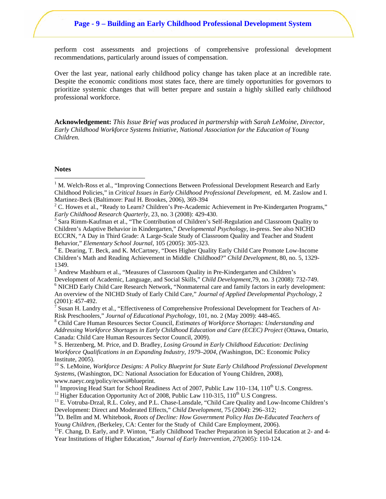perform cost assessments and projections of comprehensive professional development recommendations, particularly around issues of compensation.

Over the last year, national early childhood policy change has taken place at an incredible rate. Despite the economic conditions most states face, there are timely opportunities for governors to prioritize systemic changes that will better prepare and sustain a highly skilled early childhood professional workforce.

**Acknowledgement:** *This Issue Brief was produced in partnership with Sarah LeMoine, Director, Early Childhood Workforce Systems Initiative, National Association for the Education of Young Children.* 

#### **Notes**

 $\overline{a}$ 

<sup>5</sup> Andrew Mashburn et al., "Measures of Classroom Quality in Pre-Kindergarten and Children's Development of Academic, Language, and Social Skills," *Child Development*, 79, no. 3 (2008): 732-749.

<sup>6</sup> NICHD Early Child Care Research Network, "Nonmaternal care and family factors in early development: An overview of the NICHD Study of Early Child Care," *Journal of Applied Developmental Psychology,* 2  $(2001): 457 - 492.$ 

 $\frac{1}{2}$  Susan H. Landry et al., "Effectiveness of Comprehensive Professional Development for Teachers of At-Risk Preschoolers," *Journal of Educational Psychology*, 101, no. 2 (May 2009): 448-465. 8

 Child Care Human Resources Sector Council, *Estimates of Workforce Shortages: Understanding and Addressing Workforce Shortages in Early Childhood Education and Care (ECEC) Project* (Ottawa, Ontario, Canada: Child Care Human Resources Sector Council, 2009).

9 S. Herzenberg, M. Price, and D. Bradley, *Losing Ground in Early Childhood Education: Declining Workforce Qualifications in an Expanding Industry, 1979–2004*, *(*Washington, DC: Economic Policy Institute, 2005).

<sup>10</sup> S. LeMoine, *Workforce Designs: A Policy Blueprint for State Early Childhood Professional Development Systems*, (Washington, DC: National Association for Education of Young Children, 2008),

www.naeyc.org/policy/ecwsi#blueprint.<br><sup>11</sup> Improving Head Start for School Readiness Act of 2007, Public Law 110–134, 110<sup>th</sup> U.S. Congress.<br><sup>12</sup> Higher Education Opportunity Act of 2008, Public Law 110-315, 110<sup>th</sup> U.S Co Development: Direct and Moderated Effects," *Child Development*, 75 (2004): 296–312;<br><sup>14</sup>D. Bellm and M. Whitebook, *Roots of Decline: How Government Policy Has De-Educated Teachers of* 

*Young Children, (Berkeley, CA: Center for the Study of Child Care Employment, 2006).*<br><sup>15</sup>F. Chang, D. Early, and P. Winton, "Early Childhood Teacher Preparation in Special Education at 2- and 4-

Year Institutions of Higher Education," *Journal of Early Intervention, 27*(2005): 110-124.

<sup>&</sup>lt;sup>1</sup> M. Welch-Ross et al., "Improving Connections Between Professional Development Research and Early Childhood Policies," in *Critical Issues in Early Childhood Professional Development,* ed. M. Zaslow and I. Martinez-Beck (Baltimore: Paul H. Brookes, 2006), 369-394

 $2^2$  C. Howes et al., "Ready to Learn? Children's Pre-Academic Achievement in Pre-Kindergarten Programs," *Early Childhood Research Quarterly*, 23, no. 3 (2008): 429-430.

<sup>&</sup>lt;sup>3</sup> Sara Rimm-Kaufman et al., "The Contribution of Children's Self-Regulation and Classroom Quality to Children's Adaptive Behavior in Kindergarten," *Developmental Psychology*, in-press. See also NICHD ECCRN, "A Day in Third Grade: A Large-Scale Study of Classroom Quality and Teacher and Student Behavior," *Elementary School Journal*, 105 (2005): 305-323. 4

E. Dearing, T. Beck, and K. McCartney, "Does Higher Quality Early Child Care Promote Low-Income Children's Math and Reading Achievement in Middle Childhood?" *Child Development,* 80, no. 5, 1329- 1349.